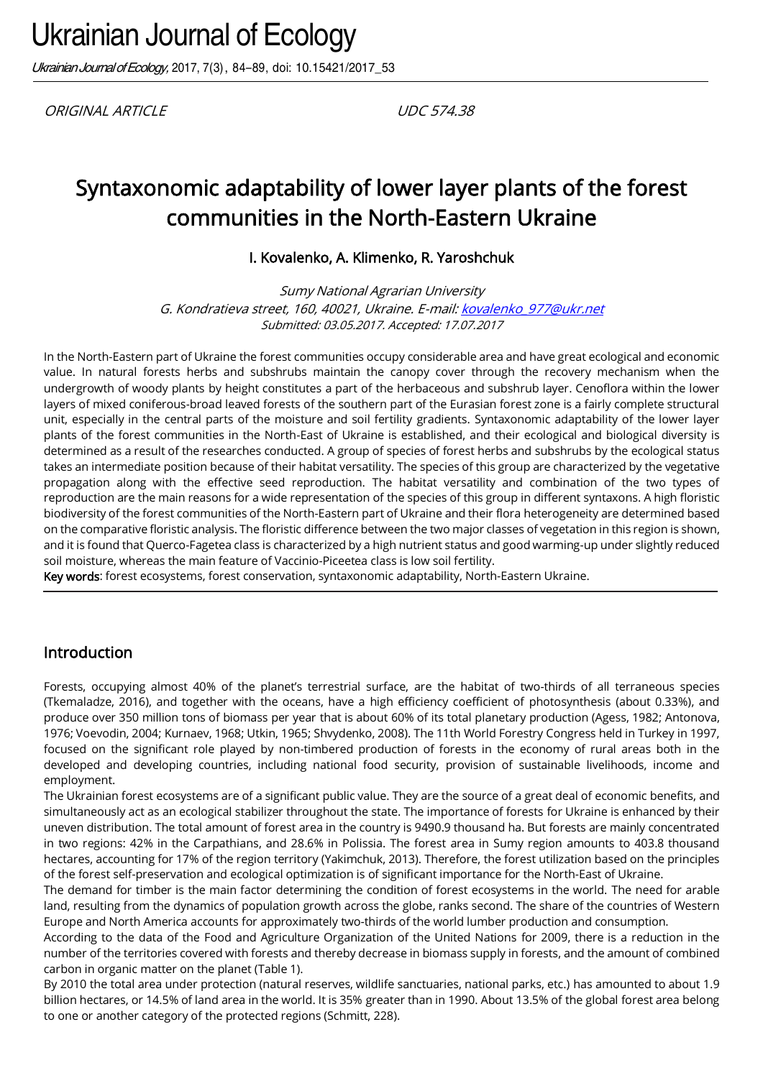Ukrainian Journal of Ecology, 2017, 7(3), 84-89, doi: 10.15421/2017 53

ORIGINAL ARTICLE UDC 574.38

# Syntaxonomic adaptability of lower layer plants of the forest communities in the North-Eastern Ukraine

I. Kovalenko, A. Klimenko, R. Yaroshchuk

Sumy National Agrarian University G. Kondratieva street, 160, 40021, Ukraine. E-mail[: kovalenko\\_977@ukr.net](mailto:kovalenko_977@ukr.net) Submitted: 03.05.2017. Accepted: 17.07.2017

In the North-Eastern part of Ukraine the forest communities occupy considerable area and have great ecological and economic value. In natural forests herbs and subshrubs maintain the canopy cover through the recovery mechanism when the undergrowth of woody plants by height constitutes a part of the herbaceous and subshrub layer. Cenoflora within the lower layers of mixed coniferous-broad leaved forests of the southern part of the Eurasian forest zone is a fairly complete structural unit, especially in the central parts of the moisture and soil fertility gradients. Syntaxonomic adaptability of the lower layer plants of the forest communities in the North-East of Ukraine is established, and their ecological and biological diversity is determined as a result of the researches conducted. A group of species of forest herbs and subshrubs by the ecological status takes an intermediate position because of their habitat versatility. The species of this group are characterized by the vegetative propagation along with the effective seed reproduction. The habitat versatility and combination of the two types of reproduction are the main reasons for a wide representation of the species of this group in different syntaxons. A high floristic biodiversity of the forest communities of the North-Eastern part of Ukraine and their flora heterogeneity are determined based on the comparative floristic analysis. The floristic difference between the two major classes of vegetation in this region is shown, and it is found that Querco-Fagetea class is characterized by a high nutrient status and good warming-up under slightly reduced soil moisture, whereas the main feature of Vaccinio-Piceetea class is low soil fertility.

Key words: forest ecosystems, forest conservation, syntaxonomic adaptability, North-Eastern Ukraine.

#### Introduction

Forests, occupying almost 40% of the planet's terrestrial surface, are the habitat of two-thirds of all terraneous species (Tkemaladze, 2016), and together with the oceans, have a high efficiency coefficient of photosynthesis (about 0.33%), and produce over 350 million tons of biomass per year that is about 60% of its total planetary production (Agess, 1982; Antonova, 1976; Voevodin, 2004; Kurnaev, 1968; Utkin, 1965; Shvydenko, 2008). The 11th World Forestry Congress held in Turkey in 1997, focused on the significant role played by non-timbered production of forests in the economy of rural areas both in the developed and developing countries, including national food security, provision of sustainable livelihoods, income and employment.

The Ukrainian forest ecosystems are of a significant public value. They are the source of a great deal of economic benefits, and simultaneously act as an ecological stabilizer throughout the state. The importance of forests for Ukraine is enhanced by their uneven distribution. The total amount of forest area in the country is 9490.9 thousand ha. But forests are mainly concentrated in two regions: 42% in the Carpathians, and 28.6% in Polissia. The forest area in Sumy region amounts to 403.8 thousand hectares, accounting for 17% of the region territory (Yakimchuk, 2013). Therefore, the forest utilization based on the principles of the forest self-preservation and ecological optimization is of significant importance for the North-East of Ukraine.

The demand for timber is the main factor determining the condition of forest ecosystems in the world. The need for arable land, resulting from the dynamics of population growth across the globe, ranks second. The share of the countries of Western Europe and North America accounts for approximately two-thirds of the world lumber production and consumption.

According to the data of the Food and Agriculture Organization of the United Nations for 2009, there is a reduction in the number of the territories covered with forests and thereby decrease in biomass supply in forests, and the amount of combined carbon in organic matter on the planet (Table 1).

By 2010 the total area under protection (natural reserves, wildlife sanctuaries, national parks, etc.) has amounted to about 1.9 billion hectares, or 14.5% of land area in the world. It is 35% greater than in 1990. About 13.5% of the global forest area belong to one or another category of the protected regions (Schmitt, 228).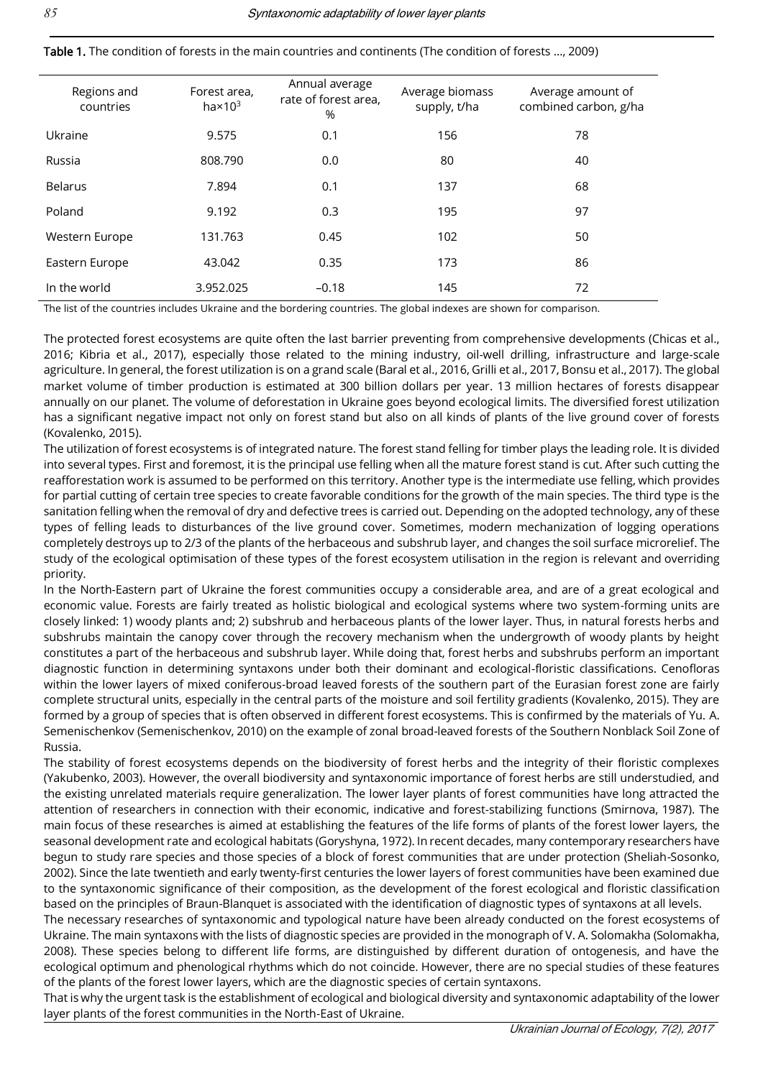| Regions and<br>countries | Forest area,<br>ha $\times$ 10 $^3$ | Annual average<br>rate of forest area,<br>% | Average biomass<br>supply, t/ha | Average amount of<br>combined carbon, g/ha |
|--------------------------|-------------------------------------|---------------------------------------------|---------------------------------|--------------------------------------------|
| Ukraine                  | 9.575                               | 0.1                                         | 156                             | 78                                         |
| Russia                   | 808.790                             | 0.0                                         | 80                              | 40                                         |
| <b>Belarus</b>           | 7.894                               | 0.1                                         | 137                             | 68                                         |
| Poland                   | 9.192                               | 0.3                                         | 195                             | 97                                         |
| Western Europe           | 131.763                             | 0.45                                        | 102                             | 50                                         |
| Eastern Europe           | 43.042                              | 0.35                                        | 173                             | 86                                         |
| In the world             | 3.952.025                           | $-0.18$                                     | 145                             | 72                                         |

Table 1. The condition of forests in the main countries and continents (The condition of forests …, 2009)

The list of the countries includes Ukraine and the bordering countries. The global indexes are shown for comparison.

The protected forest ecosystems are quite often the last barrier preventing from comprehensive developments (Chicas et al., 2016; Kibria et al., 2017), especially those related to the mining industry, oil-well drilling, infrastructure and large-scale agriculture. In general, the forest utilization is on a grand scale (Baral et al., 2016, Grilli et al., 2017, Bonsu et al., 2017). The global market volume of timber production is estimated at 300 billion dollars per year. 13 million hectares of forests disappear annually on our planet. The volume of deforestation in Ukraine goes beyond ecological limits. The diversified forest utilization has a significant negative impact not only on forest stand but also on all kinds of plants of the live ground cover of forests (Kovalenko, 2015).

The utilization of forest ecosystems is of integrated nature. The forest stand felling for timber plays the leading role. It is divided into several types. First and foremost, it is the principal use felling when all the mature forest stand is cut. After such cutting the reafforestation work is assumed to be performed on this territory. Another type is the intermediate use felling, which provides for partial cutting of certain tree species to create favorable conditions for the growth of the main species. The third type is the sanitation felling when the removal of dry and defective trees is carried out. Depending on the adopted technology, any of these types of felling leads to disturbances of the live ground cover. Sometimes, modern mechanization of logging operations completely destroys up to 2/3 of the plants of the herbaceous and subshrub layer, and changes the soil surface microrelief. The study of the ecological optimisation of these types of the forest ecosystem utilisation in the region is relevant and overriding priority.

In the North-Eastern part of Ukraine the forest communities occupy a considerable area, and are of a great ecological and economic value. Forests are fairly treated as holistic biological and ecological systems where two system-forming units are closely linked: 1) woody plants and; 2) subshrub and herbaceous plants of the lower layer. Thus, in natural forests herbs and subshrubs maintain the canopy cover through the recovery mechanism when the undergrowth of woody plants by height constitutes a part of the herbaceous and subshrub layer. While doing that, forest herbs and subshrubs perform an important diagnostic function in determining syntaxons under both their dominant and ecological-floristic classifications. Cenofloras within the lower layers of mixed coniferous-broad leaved forests of the southern part of the Eurasian forest zone are fairly complete structural units, especially in the central parts of the moisture and soil fertility gradients (Kovalenko, 2015). They are formed by a group of species that is often observed in different forest ecosystems. This is confirmed by the materials of Yu. A. Semenischenkov (Semenischenkov, 2010) on the example of zonal broad-leaved forests of the Southern Nonblack Soil Zone of Russia.

The stability of forest ecosystems depends on the biodiversity of forest herbs and the integrity of their floristic complexes (Yakubenko, 2003). However, the overall biodiversity and syntaxonomic importance of forest herbs are still understudied, and the existing unrelated materials require generalization. The lower layer plants of forest communities have long attracted the attention of researchers in connection with their economic, indicative and forest-stabilizing functions (Smirnova, 1987). The main focus of these researches is aimed at establishing the features of the life forms of plants of the forest lower layers, the seasonal development rate and ecological habitats (Goryshyna, 1972). In recent decades, many contemporary researchers have begun to study rare species and those species of a block of forest communities that are under protection (Sheliah-Sosonko, 2002). Since the late twentieth and early twenty-first centuries the lower layers of forest communities have been examined due to the syntaxonomic significance of their composition, as the development of the forest ecological and floristic classification based on the principles of Braun-Blanquet is associated with the identification of diagnostic types of syntaxons at all levels.

The necessary researches of syntaxonomic and typological nature have been already conducted on the forest ecosystems of Ukraine. The main syntaxons with the lists of diagnostic species are provided in the monograph of V. A. Solomakha (Solomakha, 2008). These species belong to different life forms, are distinguished by different duration of ontogenesis, and have the ecological optimum and phenological rhythms which do not coincide. However, there are no special studies of these features of the plants of the forest lower layers, which are the diagnostic species of certain syntaxons.

That is why the urgent task is the establishment of ecological and biological diversity and syntaxonomic adaptability of the lower layer plants of the forest communities in the North-East of Ukraine.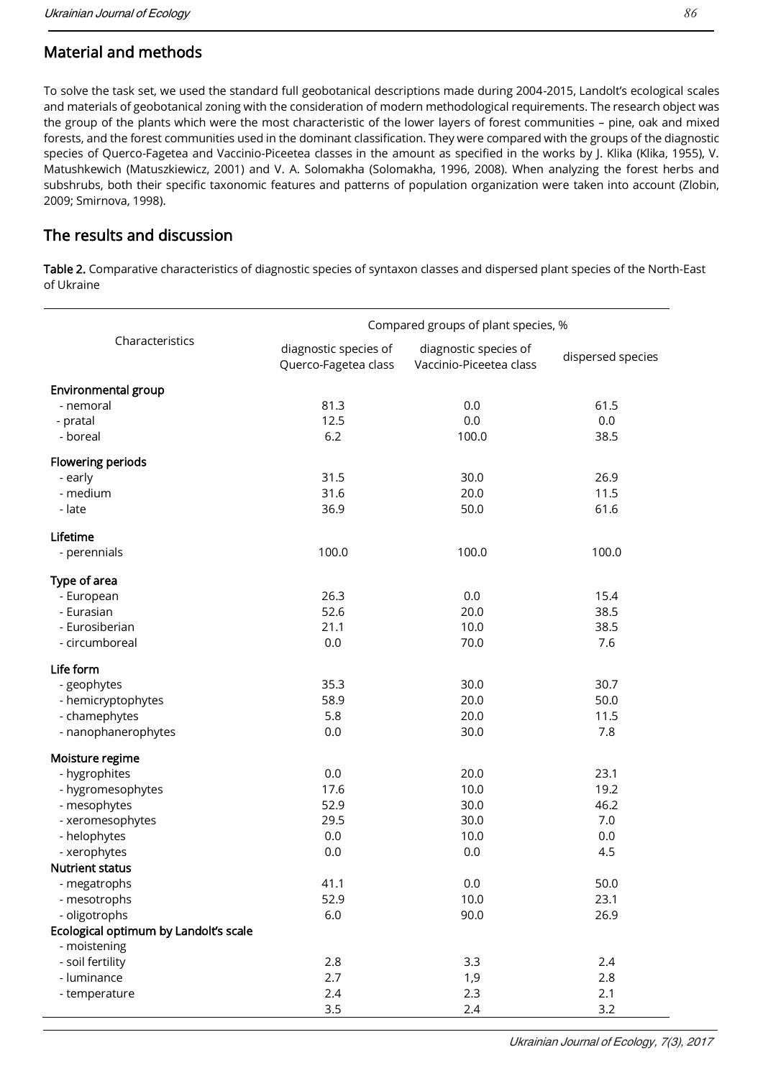## Material and methods

To solve the task set, we used the standard full geobotanical descriptions made during 2004-2015, Landolt's ecological scales and materials of geobotanical zoning with the consideration of modern methodological requirements. The research object was the group of the plants which were the most characteristic of the lower layers of forest communities – pine, oak and mixed forests, and the forest communities used in the dominant classification. They were compared with the groups of the diagnostic species of Querco-Fagetea and Vaccinio-Piceetea classes in the amount as specified in the works by J. Klika (Klika, 1955), V. Matushkewich (Matuszkiewicz, 2001) and V. A. Solomakha (Solomakha, 1996, 2008). When analyzing the forest herbs and subshrubs, both their specific taxonomic features and patterns of population organization were taken into account (Zlobin, 2009; Smirnova, 1998).

## The results and discussion

Table 2. Comparative characteristics of diagnostic species of syntaxon classes and dispersed plant species of the North-East of Ukraine

|                                       | Compared groups of plant species, %           |                                                  |                   |  |
|---------------------------------------|-----------------------------------------------|--------------------------------------------------|-------------------|--|
| Characteristics                       | diagnostic species of<br>Querco-Fagetea class | diagnostic species of<br>Vaccinio-Piceetea class | dispersed species |  |
| Environmental group                   |                                               |                                                  |                   |  |
| - nemoral                             | 81.3                                          | 0.0                                              | 61.5              |  |
| - pratal                              | 12.5                                          | 0.0                                              | 0.0               |  |
| - boreal                              | 6.2                                           | 100.0                                            | 38.5              |  |
| Flowering periods                     |                                               |                                                  |                   |  |
| - early                               | 31.5                                          | 30.0                                             | 26.9              |  |
| - medium                              | 31.6                                          | 20.0                                             | 11.5              |  |
| - late                                | 36.9                                          | 50.0                                             | 61.6              |  |
| Lifetime                              |                                               |                                                  |                   |  |
| - perennials                          | 100.0                                         | 100.0                                            | 100.0             |  |
| Type of area                          |                                               |                                                  |                   |  |
| - European                            | 26.3                                          | 0.0                                              | 15.4              |  |
| - Eurasian                            | 52.6                                          | 20.0                                             | 38.5              |  |
| - Eurosiberian                        | 21.1                                          | 10.0                                             | 38.5              |  |
| - circumboreal                        | $0.0\,$                                       | 70.0                                             | 7.6               |  |
| Life form                             |                                               |                                                  |                   |  |
| - geophytes                           | 35.3                                          | 30.0                                             | 30.7              |  |
| - hemicryptophytes                    | 58.9                                          | 20.0                                             | 50.0              |  |
| - chamephytes                         | 5.8                                           | 20.0                                             | 11.5              |  |
| - nanophanerophytes                   | 0.0                                           | 30.0                                             | 7.8               |  |
| Moisture regime                       |                                               |                                                  |                   |  |
| - hygrophites                         | 0.0                                           | 20.0                                             | 23.1              |  |
| - hygromesophytes                     | 17.6                                          | 10.0                                             | 19.2              |  |
| - mesophytes                          | 52.9                                          | 30.0                                             | 46.2              |  |
| - xeromesophytes                      | 29.5                                          | 30.0                                             | 7.0               |  |
| - helophytes                          | 0.0                                           | 10.0                                             | 0.0               |  |
| - xerophytes                          | 0.0                                           | 0.0                                              | 4.5               |  |
| <b>Nutrient status</b>                |                                               |                                                  |                   |  |
| - megatrophs                          | 41.1                                          | 0.0                                              | 50.0              |  |
| - mesotrophs                          | 52.9                                          | 10.0                                             | 23.1              |  |
| - oligotrophs                         | 6.0                                           | 90.0                                             | 26.9              |  |
| Ecological optimum by Landolt's scale |                                               |                                                  |                   |  |
| - moistening                          |                                               |                                                  |                   |  |
| - soil fertility<br>- luminance       | 2.8                                           | 3.3                                              | 2.4               |  |
|                                       | 2.7                                           | 1,9                                              | 2.8<br>2.1        |  |
| - temperature                         | 2.4<br>3.5                                    | 2.3<br>2.4                                       | 3.2               |  |
|                                       |                                               |                                                  |                   |  |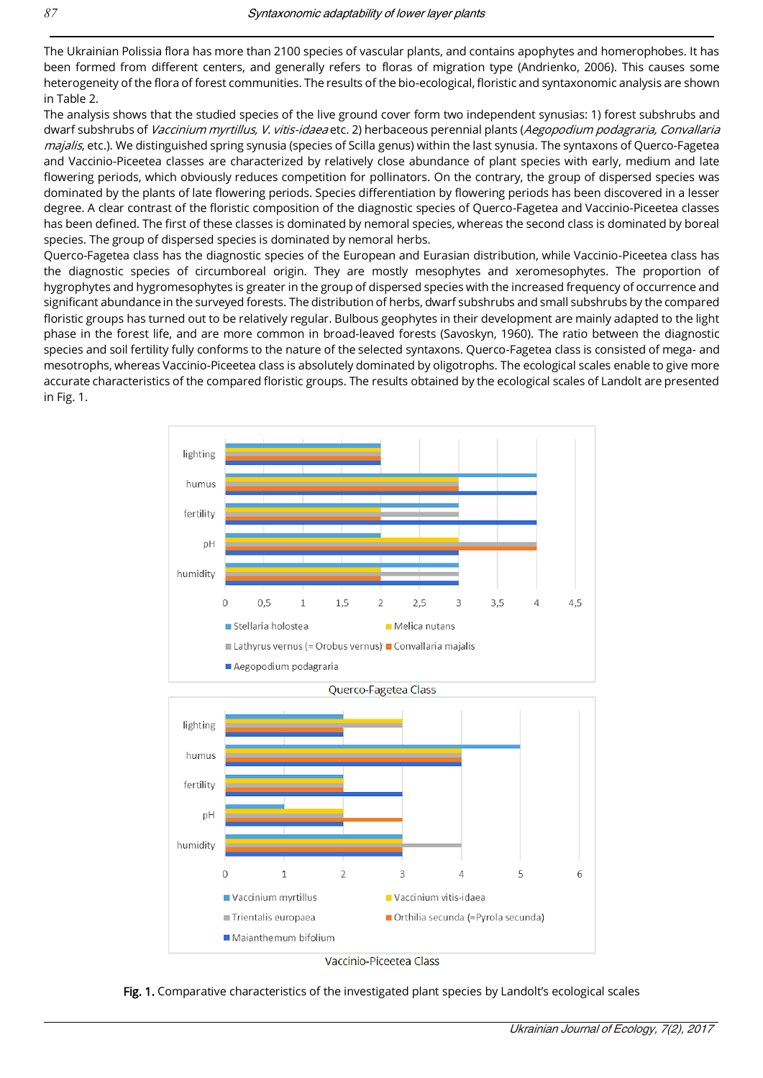The Ukrainian Polissia flora has more than 2100 species of vascular plants, and contains apophytes and homerophobes. It has been formed from different centers, and generally refers to floras of migration type (Andrienko, 2006). This causes some heterogeneity of the flora of forest communities. The results of the bio-ecological, floristic and syntaxonomic analysis are shown in Table 2.

The analysis shows that the studied species of the live ground cover form two independent synusias: 1) forest subshrubs and dwarf subshrubs of Vaccinium myrtillus, V. vitis-idaea etc. 2) herbaceous perennial plants (Aegopodium podagraria, Convallaria majalis, etc.). We distinguished spring synusia (species of Scilla genus) within the last synusia. The syntaxons of Querco-Fagetea and Vaccinio-Piceetea classes are characterized by relatively close abundance of plant species with early, medium and late flowering periods, which obviously reduces competition for pollinators. On the contrary, the group of dispersed species was dominated by the plants of late flowering periods. Species differentiation by flowering periods has been discovered in a lesser degree. A clear contrast of the floristic composition of the diagnostic species of Querco-Fagetea and Vaccinio-Piceetea classes has been defined. The first of these classes is dominated by nemoral species, whereas the second class is dominated by boreal species. The group of dispersed species is dominated by nemoral herbs.

Querco-Fagetea class has the diagnostic species of the European and Eurasian distribution, while Vaccinio-Piceetea class has the diagnostic species of circumboreal origin. They are mostly mesophytes and xeromesophytes. The proportion of hygrophytes and hygromesophytes is greater in the group of dispersed species with the increased frequency of occurrence and significant abundance in the surveyed forests. The distribution of herbs, dwarf subshrubs and small subshrubs by the compared floristic groups has turned out to be relatively regular. Bulbous geophytes in their development are mainly adapted to the light phase in the forest life, and are more common in broad-leaved forests (Savoskyn, 1960). The ratio between the diagnostic species and soil fertility fully conforms to the nature of the selected syntaxons. Querco-Fagetea class is consisted of mega- and mesotrophs, whereas Vaccinio-Piceetea class is absolutely dominated by oligotrophs. The ecological scales enable to give more accurate characteristics of the compared floristic groups. The results obtained by the ecological scales of Landolt are presented in Fig. 1.



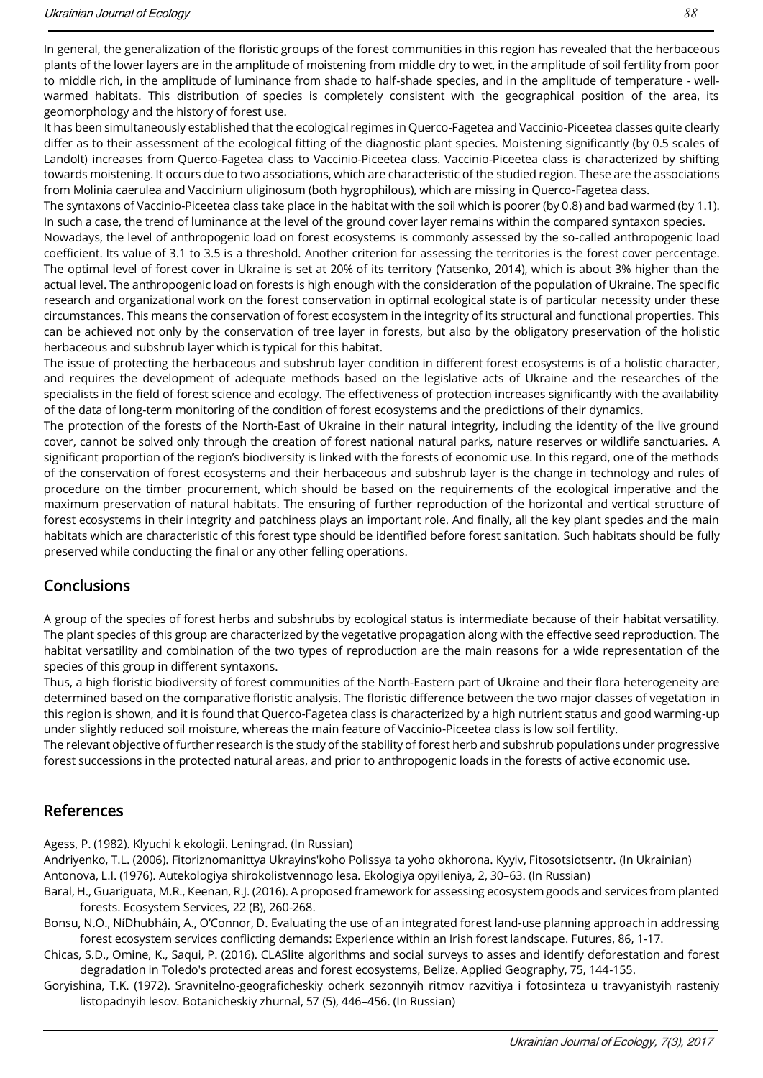In general, the generalization of the floristic groups of the forest communities in this region has revealed that the herbaceous plants of the lower layers are in the amplitude of moistening from middle dry to wet, in the amplitude of soil fertility from poor to middle rich, in the amplitude of luminance from shade to half-shade species, and in the amplitude of temperature - wellwarmed habitats. This distribution of species is completely consistent with the geographical position of the area, its geomorphology and the history of forest use.

It has been simultaneously established that the ecological regimes in Querco-Fagetea and Vaccinio-Piceetea classes quite clearly differ as to their assessment of the ecological fitting of the diagnostic plant species. Moistening significantly (by 0.5 scales of Landolt) increases from Querco-Fagetea class to Vaccinio-Piceetea class. Vaccinio-Piceetea class is characterized by shifting towards moistening. It occurs due to two associations, which are characteristic of the studied region. These are the associations from Molinia caerulea and Vaccinium uliginosum (both hygrophilous), which are missing in Querco-Fagetea class.

The syntaxons of Vaccinio-Piceetea class take place in the habitat with the soil which is poorer (by 0.8) and bad warmed (by 1.1). In such a case, the trend of luminance at the level of the ground cover layer remains within the compared syntaxon species.

Nowadays, the level of anthropogenic load on forest ecosystems is commonly assessed by the so-called anthropogenic load coefficient. Its value of 3.1 to 3.5 is a threshold. Another criterion for assessing the territories is the forest cover percentage. The optimal level of forest cover in Ukraine is set at 20% of its territory (Yatsenko, 2014), which is about 3% higher than the actual level. The anthropogenic load on forests is high enough with the consideration of the population of Ukraine. The specific research and organizational work on the forest conservation in optimal ecological state is of particular necessity under these circumstances. This means the conservation of forest ecosystem in the integrity of its structural and functional properties. This can be achieved not only by the conservation of tree layer in forests, but also by the obligatory preservation of the holistic herbaceous and subshrub layer which is typical for this habitat.

The issue of protecting the herbaceous and subshrub layer condition in different forest ecosystems is of a holistic character, and requires the development of adequate methods based on the legislative acts of Ukraine and the researches of the specialists in the field of forest science and ecology. The effectiveness of protection increases significantly with the availability of the data of long-term monitoring of the condition of forest ecosystems and the predictions of their dynamics.

The protection of the forests of the North-East of Ukraine in their natural integrity, including the identity of the live ground cover, cannot be solved only through the creation of forest national natural parks, nature reserves or wildlife sanctuaries. A significant proportion of the region's biodiversity is linked with the forests of economic use. In this regard, one of the methods of the conservation of forest ecosystems and their herbaceous and subshrub layer is the change in technology and rules of procedure on the timber procurement, which should be based on the requirements of the ecological imperative and the maximum preservation of natural habitats. The ensuring of further reproduction of the horizontal and vertical structure of forest ecosystems in their integrity and patchiness plays an important role. And finally, all the key plant species and the main habitats which are characteristic of this forest type should be identified before forest sanitation. Such habitats should be fully preserved while conducting the final or any other felling operations.

## Conclusions

A group of the species of forest herbs and subshrubs by ecological status is intermediate because of their habitat versatility. The plant species of this group are characterized by the vegetative propagation along with the effective seed reproduction. The habitat versatility and combination of the two types of reproduction are the main reasons for a wide representation of the species of this group in different syntaxons.

Thus, a high floristic biodiversity of forest communities of the North-Eastern part of Ukraine and their flora heterogeneity are determined based on the comparative floristic analysis. The floristic difference between the two major classes of vegetation in this region is shown, and it is found that Querco-Fagetea class is characterized by a high nutrient status and good warming-up under slightly reduced soil moisture, whereas the main feature of Vaccinio-Piceetea class is low soil fertility.

The relevant objective of further research is the study of the stability of forest herb and subshrub populations under progressive forest successions in the protected natural areas, and prior to anthropogenic loads in the forests of active economic use.

## References

Agess, P. (1982). Klyuchi k ekologii. Leningrad. (In Russian)

Andriyenko, T.L. (2006). Fitoriznomanittya Ukrayins'koho Polissya ta yoho okhorona. Кyyiv, Fitosotsiotsentr. (In Ukrainian) Antonova, L.I. (1976). Autekologiya shirokolistvennogo lesa. Ekologiya opyileniya, 2, 30–63. (In Russian)

- Baral, H., Guariguata, M.R., Keenan, R.J. (2016). A proposed framework for assessing ecosystem goods and services from planted forests. Ecosystem Services, 22 (B), 260-268.
- Bonsu, N.O., NíDhubháin, A., O'Connor, D. Evaluating the use of an integrated forest land-use planning approach in addressing forest ecosystem services conflicting demands: Experience within an Irish forest landscape. Futures, 86, 1-17.
- Chicas, S.D., Omine, K., Saqui, P. (2016). CLASlite algorithms and social surveys to asses and identify deforestation and forest degradation in Toledo's protected areas and forest ecosystems, Belize. Applied Geography, 75, 144-155.
- Goryishina, T.K. (1972). Sravnitelno-geograficheskiy ocherk sezonnyih ritmov razvitiya i fotosinteza u travyanistyih rasteniy listopadnyih lesov. Botanicheskiy zhurnal, 57 (5), 446–456. (In Russian)